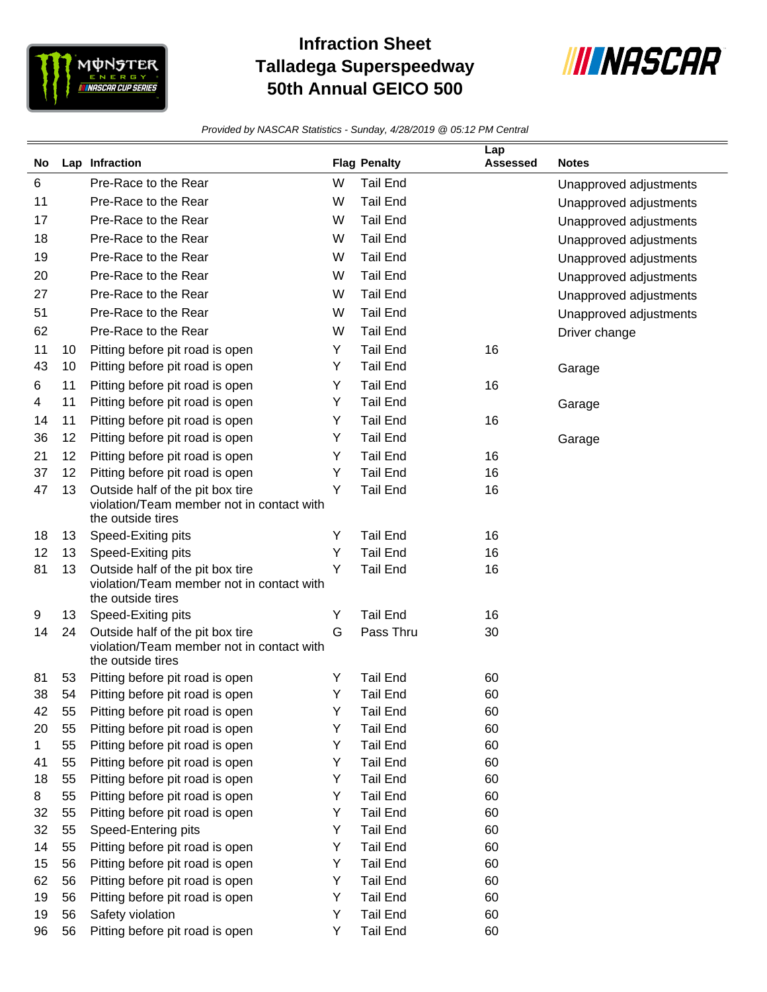

## **Infraction Sheet Talladega Superspeedway 50th Annual GEICO 500**



*Provided by NASCAR Statistics - Sunday, 4/28/2019 @ 05:12 PM Central*

|         |          | Lap Infraction                                                                |        | <b>Flag Penalty</b>                | Lap<br><b>Assessed</b> | <b>Notes</b>           |
|---------|----------|-------------------------------------------------------------------------------|--------|------------------------------------|------------------------|------------------------|
| No.     |          |                                                                               |        |                                    |                        |                        |
| 6       |          | Pre-Race to the Rear                                                          | W      | <b>Tail End</b>                    |                        | Unapproved adjustments |
| 11      |          | Pre-Race to the Rear                                                          | W      | <b>Tail End</b>                    |                        | Unapproved adjustments |
| 17      |          | Pre-Race to the Rear                                                          | W      | <b>Tail End</b>                    |                        | Unapproved adjustments |
| 18      |          | Pre-Race to the Rear                                                          | W      | <b>Tail End</b>                    |                        | Unapproved adjustments |
| 19      |          | Pre-Race to the Rear                                                          | W      | <b>Tail End</b>                    |                        | Unapproved adjustments |
| 20      |          | Pre-Race to the Rear                                                          | W      | <b>Tail End</b>                    |                        | Unapproved adjustments |
| 27      |          | Pre-Race to the Rear                                                          | W      | <b>Tail End</b>                    |                        | Unapproved adjustments |
| 51      |          | Pre-Race to the Rear                                                          | W      | <b>Tail End</b>                    |                        | Unapproved adjustments |
| 62      |          | Pre-Race to the Rear                                                          | W      | <b>Tail End</b>                    |                        | Driver change          |
| 11      | 10       | Pitting before pit road is open                                               | Y      | <b>Tail End</b>                    | 16                     |                        |
| 43      | 10       | Pitting before pit road is open                                               | Y      | <b>Tail End</b>                    |                        | Garage                 |
| 6       | 11       | Pitting before pit road is open                                               | Y      | <b>Tail End</b>                    | 16                     |                        |
| 4       | 11       | Pitting before pit road is open                                               | Y      | <b>Tail End</b>                    |                        | Garage                 |
| 14      | 11       | Pitting before pit road is open                                               | Y      | <b>Tail End</b>                    | 16                     |                        |
| 36      | 12       | Pitting before pit road is open                                               | Y      | <b>Tail End</b>                    |                        | Garage                 |
| 21      | 12       | Pitting before pit road is open                                               | Y      | <b>Tail End</b>                    | 16                     |                        |
| 37      | 12       | Pitting before pit road is open                                               | Y      | <b>Tail End</b>                    | 16                     |                        |
| 47      | 13       | Outside half of the pit box tire                                              | Y      | <b>Tail End</b>                    | 16                     |                        |
|         |          | violation/Team member not in contact with                                     |        |                                    |                        |                        |
|         |          | the outside tires                                                             |        |                                    |                        |                        |
| 18      | 13       | Speed-Exiting pits                                                            | Y      | <b>Tail End</b>                    | 16                     |                        |
| 12      | 13       | Speed-Exiting pits                                                            | Y      | <b>Tail End</b>                    | 16                     |                        |
| 81      | 13       | Outside half of the pit box tire<br>violation/Team member not in contact with | Y      | <b>Tail End</b>                    | 16                     |                        |
|         |          | the outside tires                                                             |        |                                    |                        |                        |
| 9       | 13       | Speed-Exiting pits                                                            | Y      | <b>Tail End</b>                    | 16                     |                        |
| 14      | 24       | Outside half of the pit box tire                                              | G      | Pass Thru                          | 30                     |                        |
|         |          | violation/Team member not in contact with                                     |        |                                    |                        |                        |
|         |          | the outside tires                                                             |        |                                    |                        |                        |
| 81      | 53       | Pitting before pit road is open                                               | Y      | <b>Tail End</b>                    | 60                     |                        |
| 38      | 54       | Pitting before pit road is open                                               | Y      | <b>Tail End</b>                    | 60                     |                        |
| 42      | 55       | Pitting before pit road is open                                               | Y      | Tail End                           | 60                     |                        |
| 20      | 55       | Pitting before pit road is open                                               | Y      | <b>Tail End</b>                    | 60                     |                        |
| 1<br>41 | 55<br>55 | Pitting before pit road is open<br>Pitting before pit road is open            | Υ<br>Y | <b>Tail End</b><br><b>Tail End</b> | 60<br>60               |                        |
| 18      | 55       | Pitting before pit road is open                                               | Y      | <b>Tail End</b>                    | 60                     |                        |
| 8       | 55       | Pitting before pit road is open                                               | Y      | <b>Tail End</b>                    | 60                     |                        |
| 32      | 55       | Pitting before pit road is open                                               | Y      | <b>Tail End</b>                    | 60                     |                        |
| 32      | 55       | Speed-Entering pits                                                           | Y      | <b>Tail End</b>                    | 60                     |                        |
| 14      | 55       | Pitting before pit road is open                                               | Y      | <b>Tail End</b>                    | 60                     |                        |
| 15      | 56       | Pitting before pit road is open                                               | Y      | <b>Tail End</b>                    | 60                     |                        |
| 62      | 56       | Pitting before pit road is open                                               | Υ      | <b>Tail End</b>                    | 60                     |                        |
| 19      | 56       | Pitting before pit road is open                                               | Y      | <b>Tail End</b>                    | 60                     |                        |
| 19      | 56       | Safety violation                                                              | Υ      | <b>Tail End</b>                    | 60                     |                        |
| 96      | 56       | Pitting before pit road is open                                               | Y      | <b>Tail End</b>                    | 60                     |                        |